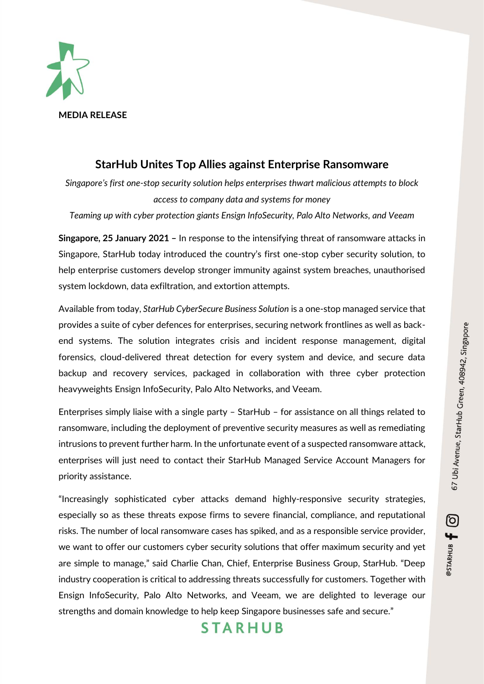@STARHUB <del>[</del> 0



### **StarHub Unites Top Allies against Enterprise Ransomware**

*Singapore's first one-stop security solution helps enterprises thwart malicious attempts to block access to company data and systems for money*

*Teaming up with cyber protection giants Ensign InfoSecurity, Palo Alto Networks, and Veeam*

**Singapore, 25 January 2021 –** In response to the intensifying threat of ransomware attacks in Singapore, StarHub today introduced the country's first one-stop cyber security solution, to help enterprise customers develop stronger immunity against system breaches, unauthorised system lockdown, data exfiltration, and extortion attempts.

Available from today, *StarHub CyberSecure Business Solution* is a one-stop managed service that provides a suite of cyber defences for enterprises, securing network frontlines as well as backend systems. The solution integrates crisis and incident response management, digital forensics, cloud-delivered threat detection for every system and device, and secure data backup and recovery services, packaged in collaboration with three cyber protection heavyweights Ensign InfoSecurity, Palo Alto Networks, and Veeam.

Enterprises simply liaise with a single party – StarHub – for assistance on all things related to ransomware, including the deployment of preventive security measures as well as remediating intrusions to prevent further harm. In the unfortunate event of a suspected ransomware attack, enterprises will just need to contact their StarHub Managed Service Account Managers for priority assistance.

"Increasingly sophisticated cyber attacks demand highly-responsive security strategies, especially so as these threats expose firms to severe financial, compliance, and reputational risks. The number of local ransomware cases has spiked, and as a responsible service provider, we want to offer our customers cyber security solutions that offer maximum security and yet are simple to manage," said Charlie Chan, Chief, Enterprise Business Group, StarHub. "Deep industry cooperation is critical to addressing threats successfully for customers. Together with Ensign InfoSecurity, Palo Alto Networks, and Veeam, we are delighted to leverage our strengths and domain knowledge to help keep Singapore businesses safe and secure."

## **STARHUB**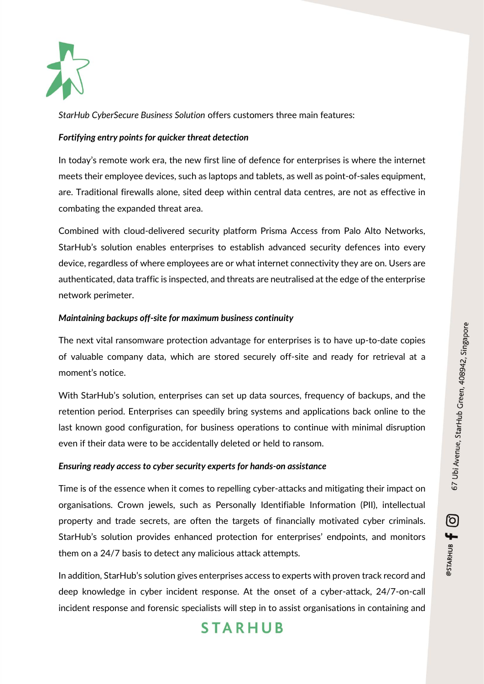

*StarHub CyberSecure Business Solution* offers customers three main features:

#### *Fortifying entry points for quicker threat detection*

In today's remote work era, the new first line of defence for enterprises is where the internet meets their employee devices, such as laptops and tablets, as well as point-of-sales equipment, are. Traditional firewalls alone, sited deep within central data centres, are not as effective in combating the expanded threat area.

Combined with cloud-delivered security platform Prisma Access from Palo Alto Networks, StarHub's solution enables enterprises to establish advanced security defences into every device, regardless of where employees are or what internet connectivity they are on. Users are authenticated, data traffic is inspected, and threats are neutralised at the edge of the enterprise network perimeter.

#### *Maintaining backups off-site for maximum business continuity*

The next vital ransomware protection advantage for enterprises is to have up-to-date copies of valuable company data, which are stored securely off-site and ready for retrieval at a moment's notice.

With StarHub's solution, enterprises can set up data sources, frequency of backups, and the retention period. Enterprises can speedily bring systems and applications back online to the last known good configuration, for business operations to continue with minimal disruption even if their data were to be accidentally deleted or held to ransom.

#### *Ensuring ready access to cyber security experts for hands-on assistance*

Time is of the essence when it comes to repelling cyber-attacks and mitigating their impact on organisations. Crown jewels, such as Personally Identifiable Information (PII), intellectual property and trade secrets, are often the targets of financially motivated cyber criminals. StarHub's solution provides enhanced protection for enterprises' endpoints, and monitors them on a 24/7 basis to detect any malicious attack attempts.

In addition, StarHub's solution gives enterprises access to experts with proven track record and deep knowledge in cyber incident response. At the onset of a cyber-attack, 24/7-on-call incident response and forensic specialists will step in to assist organisations in containing and

# **STARHUB**

@STARHUB <del>[</del> 0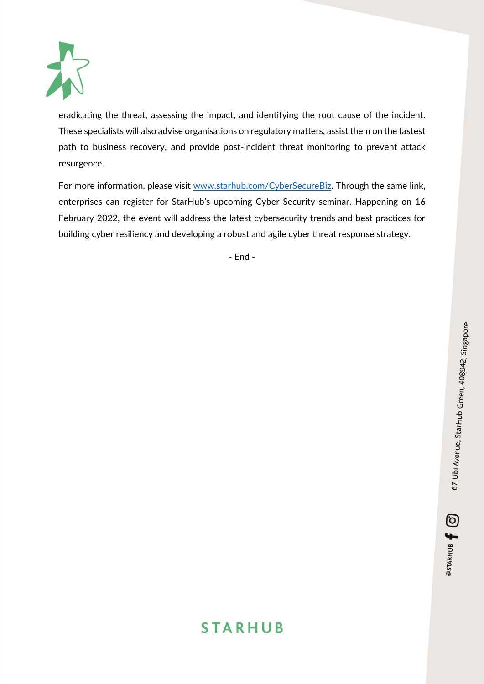

eradicating the threat, assessing the impact, and identifying the root cause of the incident. These specialists will also advise organisations on regulatory matters, assist them on the fastest path to business recovery, and provide post-incident threat monitoring to prevent attack resurgence.

For more information, please visit [www.starhub.com/CyberSecureBiz.](http://www.starhub.com/CyberSecureBiz) Through the same link, enterprises can register for StarHub's upcoming Cyber Security seminar. Happening on 16 February 2022, the event will address the latest cybersecurity trends and best practices for building cyber resiliency and developing a robust and agile cyber threat response strategy.

- End -

@STARHUB <del>[</del> 0

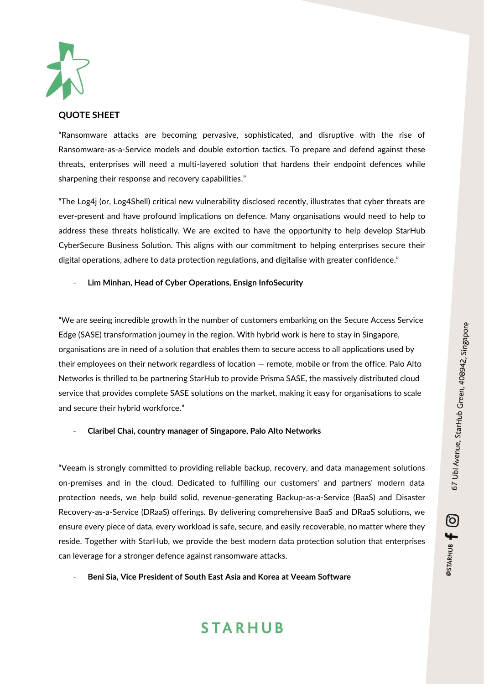@STARHUB <del>[</del> 0



#### **QUOTE SHEET**

"Ransomware attacks are becoming pervasive, sophisticated, and disruptive with the rise of Ransomware-as-a-Service models and double extortion tactics. To prepare and defend against these threats, enterprises will need a multi-layered solution that hardens their endpoint defences while sharpening their response and recovery capabilities."

"The Log4j (or, Log4Shell) critical new vulnerability disclosed recently, illustrates that cyber threats are ever-present and have profound implications on defence. Many organisations would need to help to address these threats holistically. We are excited to have the opportunity to help develop StarHub CyberSecure Business Solution. This aligns with our commitment to helping enterprises secure their digital operations, adhere to data protection regulations, and digitalise with greater confidence."

#### - **Lim Minhan, Head of Cyber Operations, Ensign InfoSecurity**

"We are seeing incredible growth in the number of customers embarking on the Secure Access Service Edge (SASE) transformation journey in the region. With hybrid work is here to stay in Singapore, organisations are in need of a solution that enables them to secure access to all applications used by their employees on their network regardless of location — remote, mobile or from the office. Palo Alto Networks is thrilled to be partnering StarHub to provide Prisma SASE, the massively distributed cloud service that provides complete SASE solutions on the market, making it easy for organisations to scale and secure their hybrid workforce."

#### - **Claribel Chai, country manager of Singapore, Palo Alto Networks**

"Veeam is strongly committed to providing reliable backup, recovery, and data management solutions on-premises and in the cloud. Dedicated to fulfilling our customers' and partners' modern data protection needs, we help build solid, revenue-generating Backup-as-a-Service (BaaS) and Disaster Recovery-as-a-Service (DRaaS) offerings. By delivering comprehensive BaaS and DRaaS solutions, we ensure every piece of data, every workload is safe, secure, and easily recoverable, no matter where they reside. Together with StarHub, we provide the best modern data protection solution that enterprises can leverage for a stronger defence against ransomware attacks.

- **Beni Sia, Vice President of South East Asia and Korea at Veeam Software**

# **STARHUB**